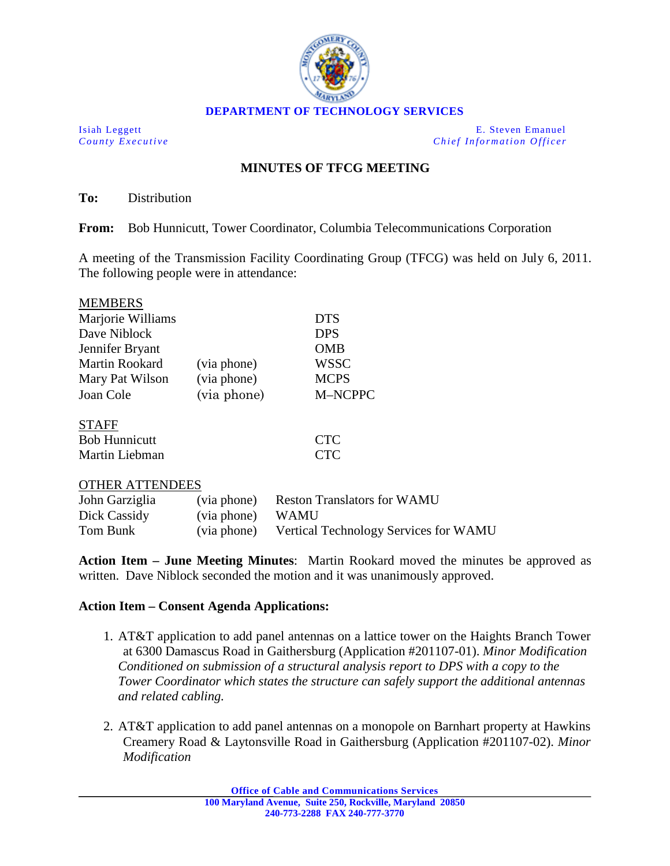

Isiah Leggett E. Steven Emanuel *County Executive Chief Information Officer*

# **MINUTES OF TFCG MEETING**

**To:** Distribution

**From:** Bob Hunnicutt, Tower Coordinator, Columbia Telecommunications Corporation

A meeting of the Transmission Facility Coordinating Group (TFCG) was held on July 6, 2011. The following people were in attendance:

| <b>MEMBERS</b>    |             |             |
|-------------------|-------------|-------------|
| Marjorie Williams |             | <b>DTS</b>  |
| Dave Niblock      |             | <b>DPS</b>  |
| Jennifer Bryant   |             | <b>OMB</b>  |
| Martin Rookard    | (via phone) | <b>WSSC</b> |
| Mary Pat Wilson   | (via phone) | <b>MCPS</b> |
| Joan Cole         | (via phone) | M-NCPPC     |
| <b>STAFF</b>      |             |             |

| .                    |            |
|----------------------|------------|
| <b>Bob Hunnicutt</b> | <b>CTC</b> |
| Martin Liebman       | <b>CTC</b> |

### OTHER ATTENDEES

| John Garziglia |                  | (via phone) Reston Translators for WAMU           |
|----------------|------------------|---------------------------------------------------|
| Dick Cassidy   | (via phone) WAMU |                                                   |
| Tom Bunk       |                  | (via phone) Vertical Technology Services for WAMU |

**Action Item – June Meeting Minutes**: Martin Rookard moved the minutes be approved as written. Dave Niblock seconded the motion and it was unanimously approved.

## **Action Item – Consent Agenda Applications:**

- 1. AT&T application to add panel antennas on a lattice tower on the Haights Branch Tower at 6300 Damascus Road in Gaithersburg (Application #201107-01). *Minor Modification Conditioned on submission of a structural analysis report to DPS with a copy to the Tower Coordinator which states the structure can safely support the additional antennas and related cabling.*
- 2. AT&T application to add panel antennas on a monopole on Barnhart property at Hawkins Creamery Road & Laytonsville Road in Gaithersburg (Application #201107-02). *Minor Modification*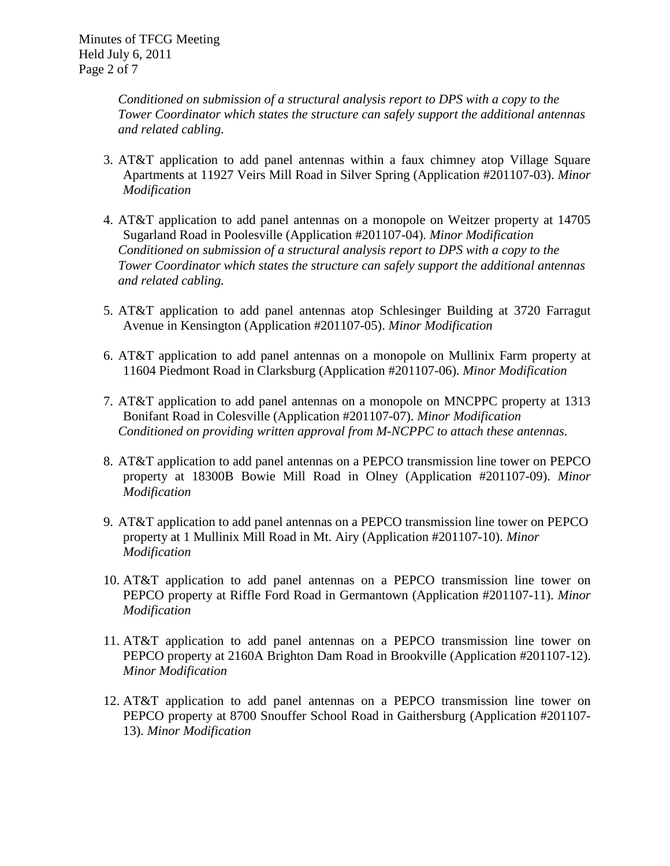*Conditioned on submission of a structural analysis report to DPS with a copy to the Tower Coordinator which states the structure can safely support the additional antennas and related cabling.*

- 3. AT&T application to add panel antennas within a faux chimney atop Village Square Apartments at 11927 Veirs Mill Road in Silver Spring (Application #201107-03). *Minor Modification*
- 4. AT&T application to add panel antennas on a monopole on Weitzer property at 14705 Sugarland Road in Poolesville (Application #201107-04). *Minor Modification Conditioned on submission of a structural analysis report to DPS with a copy to the Tower Coordinator which states the structure can safely support the additional antennas and related cabling.*
- 5. AT&T application to add panel antennas atop Schlesinger Building at 3720 Farragut Avenue in Kensington (Application #201107-05). *Minor Modification*
- 6. AT&T application to add panel antennas on a monopole on Mullinix Farm property at 11604 Piedmont Road in Clarksburg (Application #201107-06). *Minor Modification*
- 7. AT&T application to add panel antennas on a monopole on MNCPPC property at 1313 Bonifant Road in Colesville (Application #201107-07). *Minor Modification Conditioned on providing written approval from M-NCPPC to attach these antennas.*
- 8. AT&T application to add panel antennas on a PEPCO transmission line tower on PEPCO property at 18300B Bowie Mill Road in Olney (Application #201107-09). *Minor Modification*
- 9. AT&T application to add panel antennas on a PEPCO transmission line tower on PEPCO property at 1 Mullinix Mill Road in Mt. Airy (Application #201107-10). *Minor Modification*
- 10. AT&T application to add panel antennas on a PEPCO transmission line tower on PEPCO property at Riffle Ford Road in Germantown (Application #201107-11). *Minor Modification*
- 11. AT&T application to add panel antennas on a PEPCO transmission line tower on PEPCO property at 2160A Brighton Dam Road in Brookville (Application #201107-12). *Minor Modification*
- 12. AT&T application to add panel antennas on a PEPCO transmission line tower on PEPCO property at 8700 Snouffer School Road in Gaithersburg (Application #201107- 13). *Minor Modification*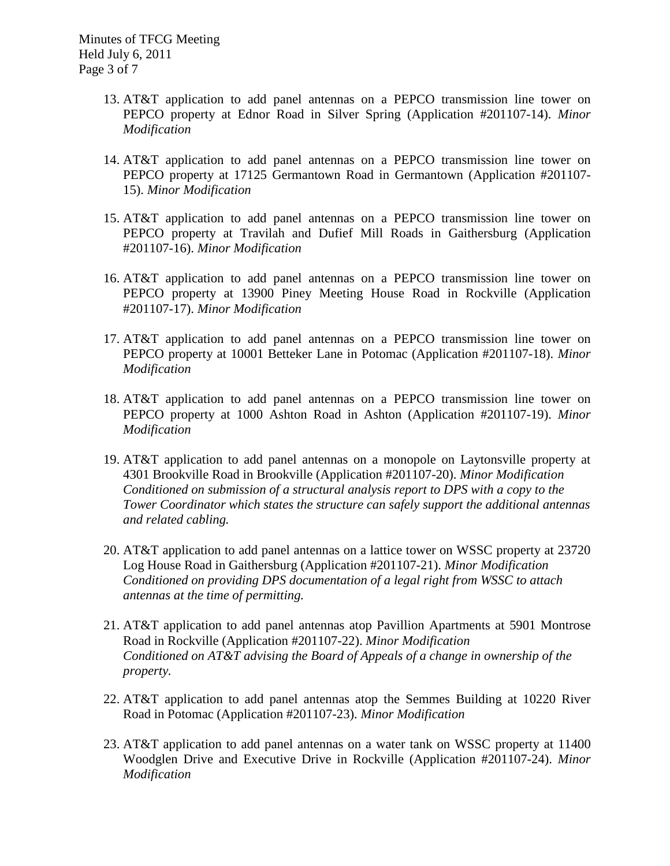- 13. AT&T application to add panel antennas on a PEPCO transmission line tower on PEPCO property at Ednor Road in Silver Spring (Application #201107-14). *Minor Modification*
- 14. AT&T application to add panel antennas on a PEPCO transmission line tower on PEPCO property at 17125 Germantown Road in Germantown (Application #201107- 15). *Minor Modification*
- 15. AT&T application to add panel antennas on a PEPCO transmission line tower on PEPCO property at Travilah and Dufief Mill Roads in Gaithersburg (Application #201107-16). *Minor Modification*
- 16. AT&T application to add panel antennas on a PEPCO transmission line tower on PEPCO property at 13900 Piney Meeting House Road in Rockville (Application #201107-17). *Minor Modification*
- 17. AT&T application to add panel antennas on a PEPCO transmission line tower on PEPCO property at 10001 Betteker Lane in Potomac (Application #201107-18). *Minor Modification*
- 18. AT&T application to add panel antennas on a PEPCO transmission line tower on PEPCO property at 1000 Ashton Road in Ashton (Application #201107-19). *Minor Modification*
- 19. AT&T application to add panel antennas on a monopole on Laytonsville property at 4301 Brookville Road in Brookville (Application #201107-20). *Minor Modification Conditioned on submission of a structural analysis report to DPS with a copy to the Tower Coordinator which states the structure can safely support the additional antennas and related cabling.*
- 20. AT&T application to add panel antennas on a lattice tower on WSSC property at 23720 Log House Road in Gaithersburg (Application #201107-21). *Minor Modification Conditioned on providing DPS documentation of a legal right from WSSC to attach antennas at the time of permitting.*
- 21. AT&T application to add panel antennas atop Pavillion Apartments at 5901 Montrose Road in Rockville (Application #201107-22). *Minor Modification Conditioned on AT&T advising the Board of Appeals of a change in ownership of the property.*
- 22. AT&T application to add panel antennas atop the Semmes Building at 10220 River Road in Potomac (Application #201107-23). *Minor Modification*
- 23. AT&T application to add panel antennas on a water tank on WSSC property at 11400 Woodglen Drive and Executive Drive in Rockville (Application #201107-24). *Minor Modification*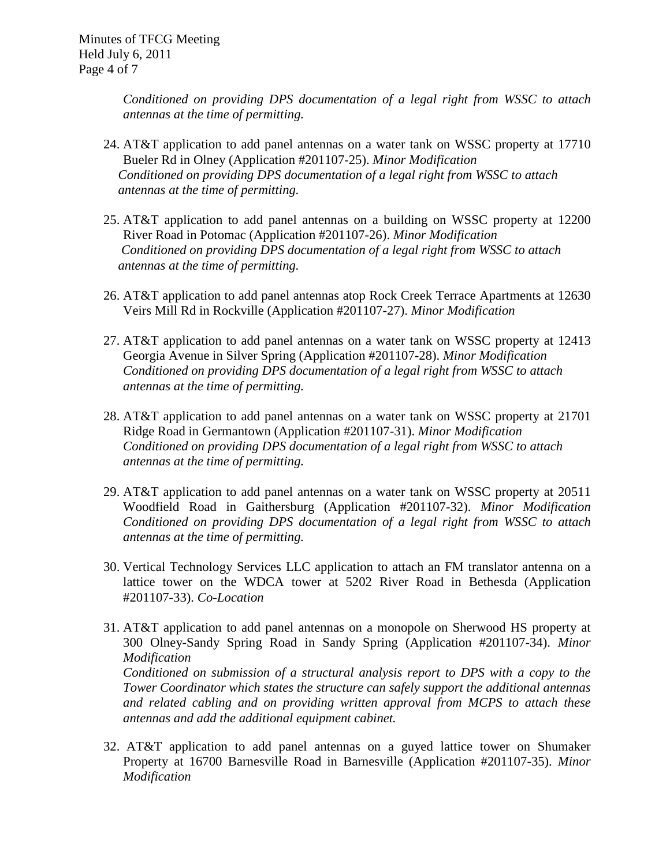*Conditioned on providing DPS documentation of a legal right from WSSC to attach antennas at the time of permitting.* 

- 24. AT&T application to add panel antennas on a water tank on WSSC property at 17710 Bueler Rd in Olney (Application #201107-25). *Minor Modification Conditioned on providing DPS documentation of a legal right from WSSC to attach antennas at the time of permitting.*
- 25. AT&T application to add panel antennas on a building on WSSC property at 12200 River Road in Potomac (Application #201107-26). *Minor Modification Conditioned on providing DPS documentation of a legal right from WSSC to attach antennas at the time of permitting.*
- 26. AT&T application to add panel antennas atop Rock Creek Terrace Apartments at 12630 Veirs Mill Rd in Rockville (Application #201107-27). *Minor Modification*
- 27. AT&T application to add panel antennas on a water tank on WSSC property at 12413 Georgia Avenue in Silver Spring (Application #201107-28). *Minor Modification Conditioned on providing DPS documentation of a legal right from WSSC to attach antennas at the time of permitting.*
- 28. AT&T application to add panel antennas on a water tank on WSSC property at 21701 Ridge Road in Germantown (Application #201107-31). *Minor Modification Conditioned on providing DPS documentation of a legal right from WSSC to attach antennas at the time of permitting.*
- 29. AT&T application to add panel antennas on a water tank on WSSC property at 20511 Woodfield Road in Gaithersburg (Application #201107-32). *Minor Modification Conditioned on providing DPS documentation of a legal right from WSSC to attach antennas at the time of permitting.*
- 30. Vertical Technology Services LLC application to attach an FM translator antenna on a lattice tower on the WDCA tower at 5202 River Road in Bethesda (Application #201107-33). *Co-Location*
- 31. AT&T application to add panel antennas on a monopole on Sherwood HS property at 300 Olney-Sandy Spring Road in Sandy Spring (Application #201107-34). *Minor Modification Conditioned on submission of a structural analysis report to DPS with a copy to the Tower Coordinator which states the structure can safely support the additional antennas and related cabling and on providing written approval from MCPS to attach these antennas and add the additional equipment cabinet.*
- 32. AT&T application to add panel antennas on a guyed lattice tower on Shumaker Property at 16700 Barnesville Road in Barnesville (Application #201107-35). *Minor Modification*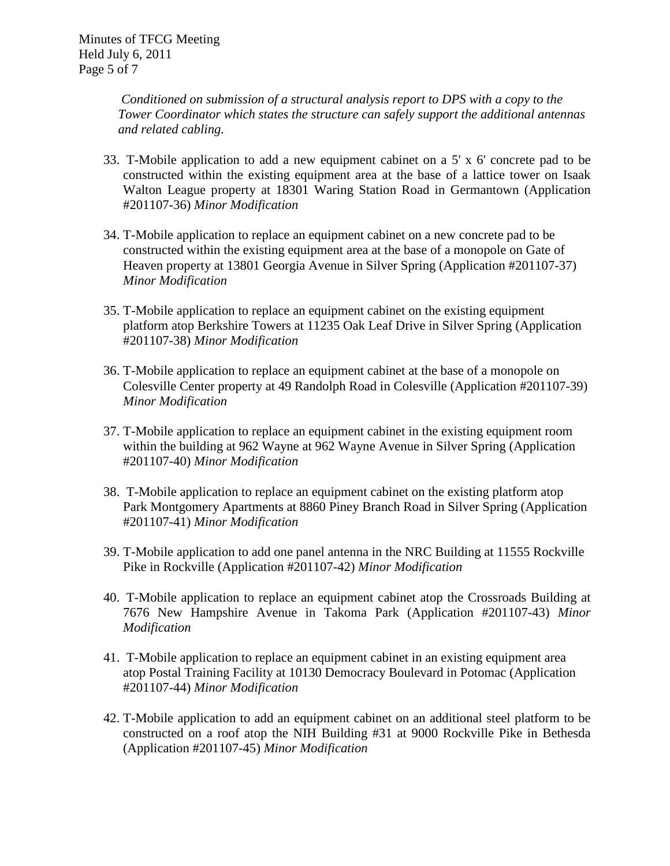*Conditioned on submission of a structural analysis report to DPS with a copy to the Tower Coordinator which states the structure can safely support the additional antennas and related cabling.*

- 33. T-Mobile application to add a new equipment cabinet on a 5' x 6' concrete pad to be constructed within the existing equipment area at the base of a lattice tower on Isaak Walton League property at 18301 Waring Station Road in Germantown (Application #201107-36) *Minor Modification*
- 34. T-Mobile application to replace an equipment cabinet on a new concrete pad to be constructed within the existing equipment area at the base of a monopole on Gate of Heaven property at 13801 Georgia Avenue in Silver Spring (Application #201107-37) *Minor Modification*
- 35. T-Mobile application to replace an equipment cabinet on the existing equipment platform atop Berkshire Towers at 11235 Oak Leaf Drive in Silver Spring (Application #201107-38) *Minor Modification*
- 36. T-Mobile application to replace an equipment cabinet at the base of a monopole on Colesville Center property at 49 Randolph Road in Colesville (Application #201107-39) *Minor Modification*
- 37. T-Mobile application to replace an equipment cabinet in the existing equipment room within the building at 962 Wayne at 962 Wayne Avenue in Silver Spring (Application #201107-40) *Minor Modification*
- 38. T-Mobile application to replace an equipment cabinet on the existing platform atop Park Montgomery Apartments at 8860 Piney Branch Road in Silver Spring (Application #201107-41) *Minor Modification*
- 39. T-Mobile application to add one panel antenna in the NRC Building at 11555 Rockville Pike in Rockville (Application #201107-42) *Minor Modification*
- 40. T-Mobile application to replace an equipment cabinet atop the Crossroads Building at 7676 New Hampshire Avenue in Takoma Park (Application #201107-43) *Minor Modification*
- 41. T-Mobile application to replace an equipment cabinet in an existing equipment area atop Postal Training Facility at 10130 Democracy Boulevard in Potomac (Application #201107-44) *Minor Modification*
- 42. T-Mobile application to add an equipment cabinet on an additional steel platform to be constructed on a roof atop the NIH Building #31 at 9000 Rockville Pike in Bethesda (Application #201107-45) *Minor Modification*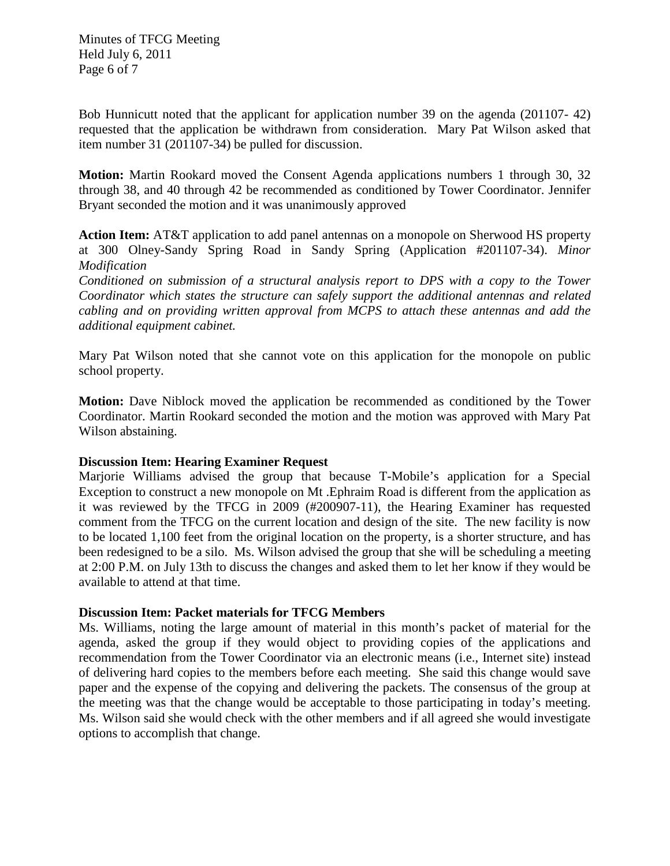Bob Hunnicutt noted that the applicant for application number 39 on the agenda (201107- 42) requested that the application be withdrawn from consideration. Mary Pat Wilson asked that item number 31 (201107-34) be pulled for discussion.

**Motion:** Martin Rookard moved the Consent Agenda applications numbers 1 through 30, 32 through 38, and 40 through 42 be recommended as conditioned by Tower Coordinator. Jennifer Bryant seconded the motion and it was unanimously approved

**Action Item:** AT&T application to add panel antennas on a monopole on Sherwood HS property at 300 Olney-Sandy Spring Road in Sandy Spring (Application #201107-34). *Minor Modification*

*Conditioned on submission of a structural analysis report to DPS with a copy to the Tower Coordinator which states the structure can safely support the additional antennas and related cabling and on providing written approval from MCPS to attach these antennas and add the additional equipment cabinet.* 

Mary Pat Wilson noted that she cannot vote on this application for the monopole on public school property.

**Motion:** Dave Niblock moved the application be recommended as conditioned by the Tower Coordinator. Martin Rookard seconded the motion and the motion was approved with Mary Pat Wilson abstaining.

## **Discussion Item: Hearing Examiner Request**

Marjorie Williams advised the group that because T-Mobile's application for a Special Exception to construct a new monopole on Mt .Ephraim Road is different from the application as it was reviewed by the TFCG in 2009 (#200907-11), the Hearing Examiner has requested comment from the TFCG on the current location and design of the site. The new facility is now to be located 1,100 feet from the original location on the property, is a shorter structure, and has been redesigned to be a silo. Ms. Wilson advised the group that she will be scheduling a meeting at 2:00 P.M. on July 13th to discuss the changes and asked them to let her know if they would be available to attend at that time.

## **Discussion Item: Packet materials for TFCG Members**

Ms. Williams, noting the large amount of material in this month's packet of material for the agenda, asked the group if they would object to providing copies of the applications and recommendation from the Tower Coordinator via an electronic means (i.e., Internet site) instead of delivering hard copies to the members before each meeting. She said this change would save paper and the expense of the copying and delivering the packets. The consensus of the group at the meeting was that the change would be acceptable to those participating in today's meeting. Ms. Wilson said she would check with the other members and if all agreed she would investigate options to accomplish that change.